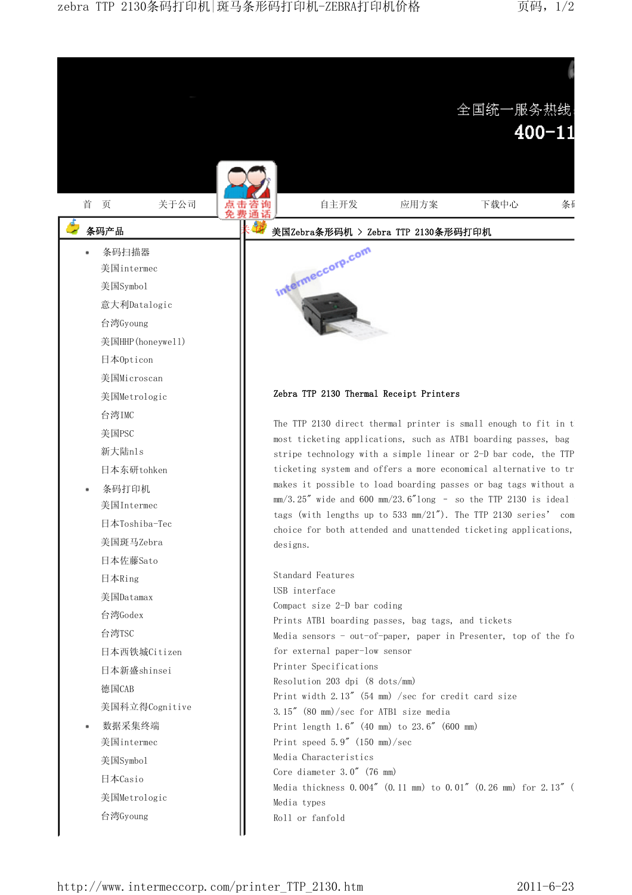